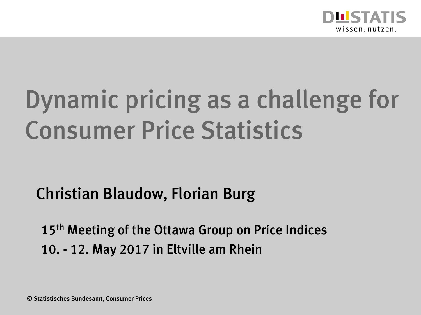

# Dynamic pricing as a challenge for Consumer Price Statistics

#### Christian Blaudow, Florian Burg

15<sup>th</sup> Meeting of the Ottawa Group on Price Indices 10. - 12. May 2017 in Eltville am Rhein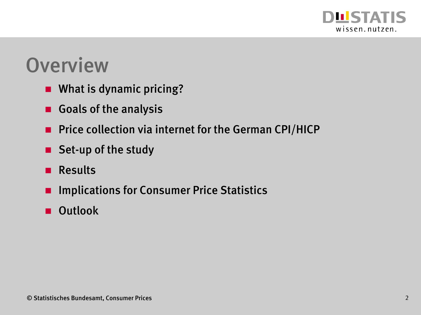

#### **Overview**

- **No. 3 What is dynamic pricing?**
- Goals of the analysis
- **Price collection via internet for the German CPI/HICP**
- Set-up of the study
- **Results**
- **E** Implications for Consumer Price Statistics
- **D** Outlook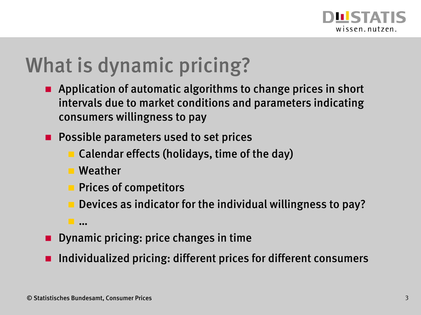

#### What is dynamic pricing?

- **Application of automatic algorithms to change prices in short** intervals due to market conditions and parameters indicating consumers willingness to pay
- **Possible parameters used to set prices** 
	- Calendar effects (holidays, time of the day)
	- **Weather**
	- $\blacksquare$  Prices of competitors
		- Devices as indicator for the individual willingness to pay?
	- …
- **Dynamic pricing: price changes in time**
- Individualized pricing: different prices for different consumers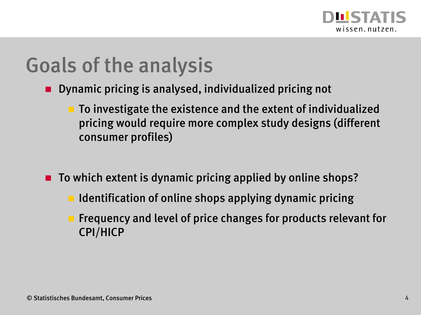

#### Goals of the analysis

- **Dynamic pricing is analysed, individualized pricing not** 
	- $\blacksquare$  To investigate the existence and the extent of individualized pricing would require more complex study designs (different consumer profiles)
- $\blacksquare$  To which extent is dynamic pricing applied by online shops?
	- **IDENTIFICATE:** Identification of online shops applying dynamic pricing
	- Frequency and level of price changes for products relevant for CPI/HICP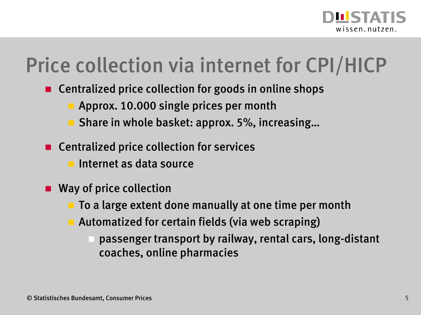

#### Price collection via internet for CPI/HICP

- Centralized price collection for goods in online shops
	- **Approx. 10.000 single prices per month**
	- Share in whole basket: approx. 5%, increasing…
- Centralized price collection for services
	- $\blacksquare$  Internet as data source
- **Way of price collection** 
	- $\blacksquare$  To a large extent done manually at one time per month
	- Automatized for certain fields (via web scraping)
		- passenger transport by railway, rental cars, long-distant coaches, online pharmacies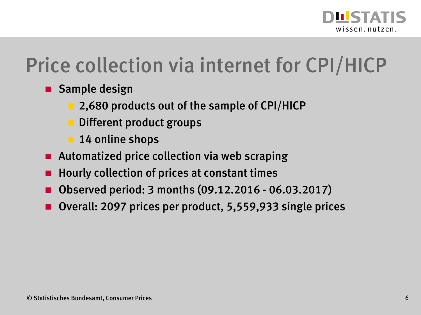

#### Price collection via internet for CPI/HICP

- **Sample design** 
	- 2,680 products out of the sample of CPI/HICP
	- Different product groups
	- 14 online shops
- Automatized price collection via web scraping
- Hourly collection of prices at constant times
- Observed period: 3 months (09.12.2016 06.03.2017)
- Overall: 2097 prices per product, 5,559,933 single prices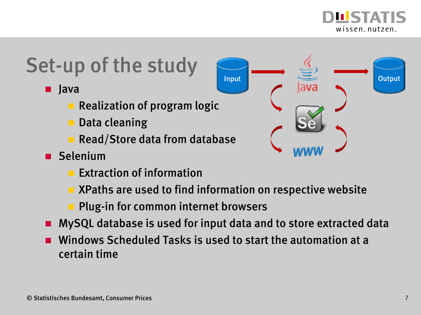

### Set-up of the study

- **u** Java
	- **Realization of program logic**
	- Data cleaning
	- Read/Store data from database
- Selenium
	- Extraction of information
	- XPaths are used to find information on respective website

i

- Plug-in for common internet browsers
- MySQL database is used for input data and to store extracted data
- Windows Scheduled Tasks is used to start the automation at a certain time

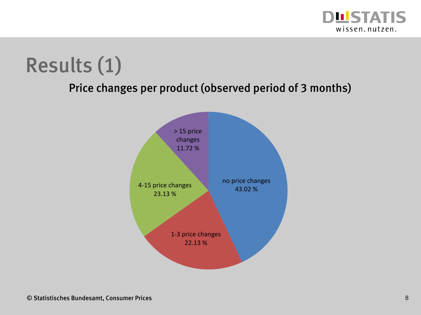

## Results (1)

Price changes per product (observed period of 3 months)

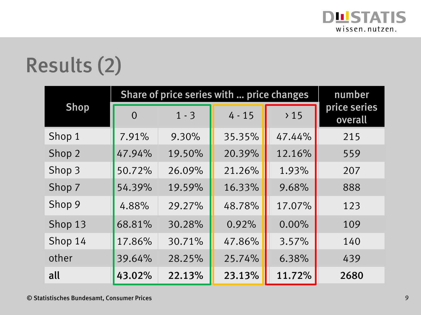

## Results (2)

| <b>Shop</b> | Share of price series with  price changes | number  |          |        |                         |
|-------------|-------------------------------------------|---------|----------|--------|-------------------------|
|             | $\Omega$                                  | $1 - 3$ | $4 - 15$ | >15    | price series<br>overall |
| Shop 1      | 7.91%                                     | 9.30%   | 35.35%   | 47.44% | 215                     |
| Shop 2      | 47.94%                                    | 19.50%  | 20.39%   | 12.16% | 559                     |
| Shop 3      | 50.72%                                    | 26.09%  | 21.26%   | 1.93%  | 207                     |
| Shop 7      | 54.39%                                    | 19.59%  | 16.33%   | 9.68%  | 888                     |
| Shop 9      | 4.88%                                     | 29.27%  | 48.78%   | 17.07% | 123                     |
| Shop 13     | 68.81%                                    | 30.28%  | 0.92%    | 0.00%  | 109                     |
| Shop 14     | 17.86%                                    | 30.71%  | 47.86%   | 3.57%  | 140                     |
| other       | 39.64%                                    | 28.25%  | 25.74%   | 6.38%  | 439                     |
| all         | 43.02%                                    | 22.13%  | 23.13%   | 11.72% | 2680                    |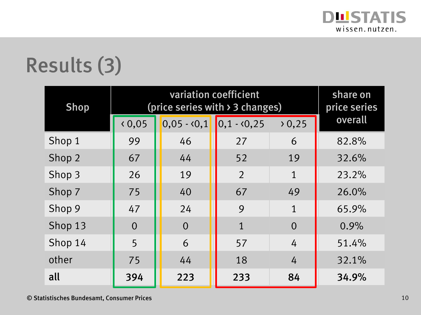

## Results (3)

| <b>Shop</b> | (price series with $\geq$ 3 changes) | share on<br>price series |                           |              |         |
|-------------|--------------------------------------|--------------------------|---------------------------|--------------|---------|
|             | 0,05                                 |                          | $0,05 - 0,1$ 0,1 - $0,25$ | 0,25         | overall |
| Shop 1      | 99                                   | 46                       | 27                        | 6            | 82.8%   |
| Shop 2      | 67                                   | 44                       | 52                        | 19           | 32.6%   |
| Shop 3      | 26                                   | 19                       | $\overline{2}$            | 1            | 23.2%   |
| Shop 7      | 75                                   | 40                       | 67                        | 49           | 26.0%   |
| Shop 9      | 47                                   | 24                       | 9                         | $\mathbf{1}$ | 65.9%   |
| Shop 13     | $\overline{0}$                       | $\overline{0}$           | $\mathbf{1}$              | $\Omega$     | 0.9%    |
| Shop 14     | 5                                    | 6                        | 57                        | 4            | 51.4%   |
| other       | 75                                   | 44                       | 18                        | 4            | 32.1%   |
| all         | 394                                  | 223                      | 233                       | 84           | 34.9%   |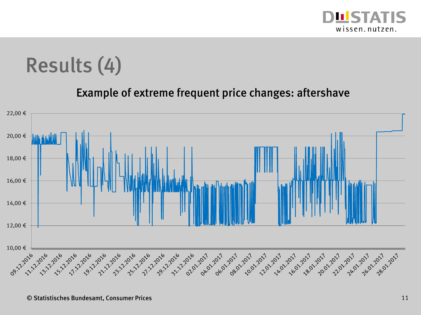

#### Results (4)

#### Example of extreme frequent price changes: aftershave

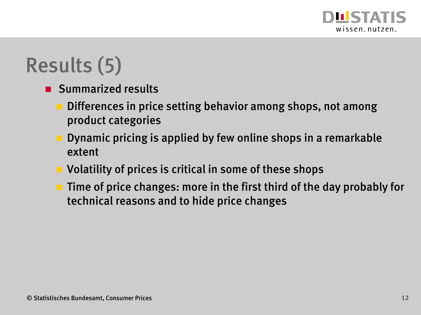

## Results (5)

- **Summarized results** 
	- **Differences in price setting behavior among shops, not among** product categories
	- Dynamic pricing is applied by few online shops in a remarkable extent
	- **U** Volatility of prices is critical in some of these shops
	- $\blacksquare$  Time of price changes: more in the first third of the day probably for technical reasons and to hide price changes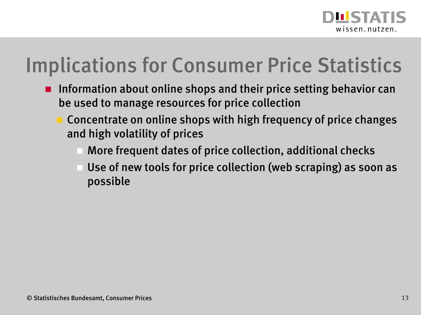

### Implications for Consumer Price Statistics

- **Information about online shops and their price setting behavior can** be used to manage resources for price collection
	- Concentrate on online shops with high frequency of price changes and high volatility of prices
		- More frequent dates of price collection, additional checks
		- Use of new tools for price collection (web scraping) as soon as possible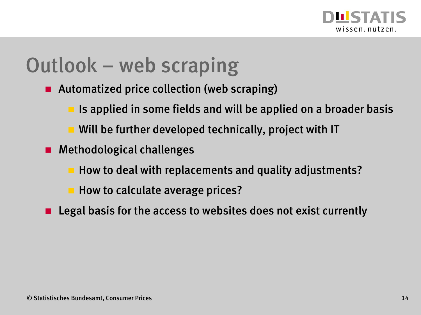

#### Outlook – web scraping

- Automatized price collection (web scraping)
	- Is applied in some fields and will be applied on a broader basis
	- **Will be further developed technically, project with IT**
- **Methodological challenges** 
	- How to deal with replacements and quality adjustments?
	- **How to calculate average prices?**
- **Legal basis for the access to websites does not exist currently**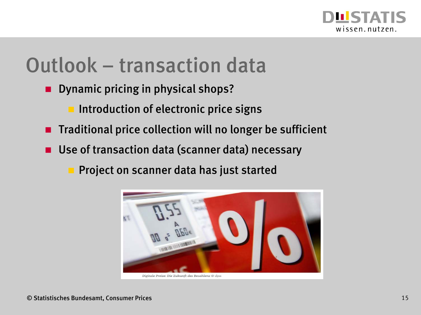

#### Outlook – transaction data

- **Dynamic pricing in physical shops?** 
	- **Introduction of electronic price signs**
- $\blacksquare$  Traditional price collection will no longer be sufficient
- Use of transaction data (scanner data) necessary
	- Project on scanner data has just started